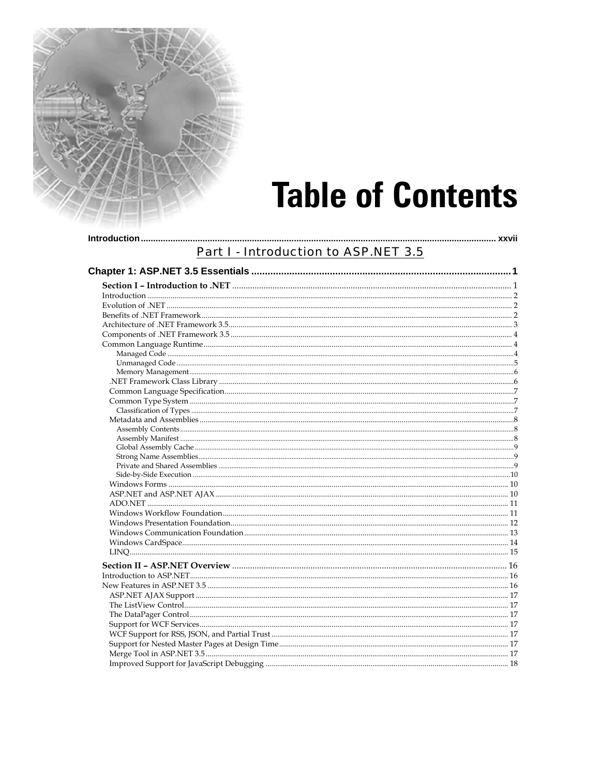

## Part I - Introduction to ASP.NET 3.5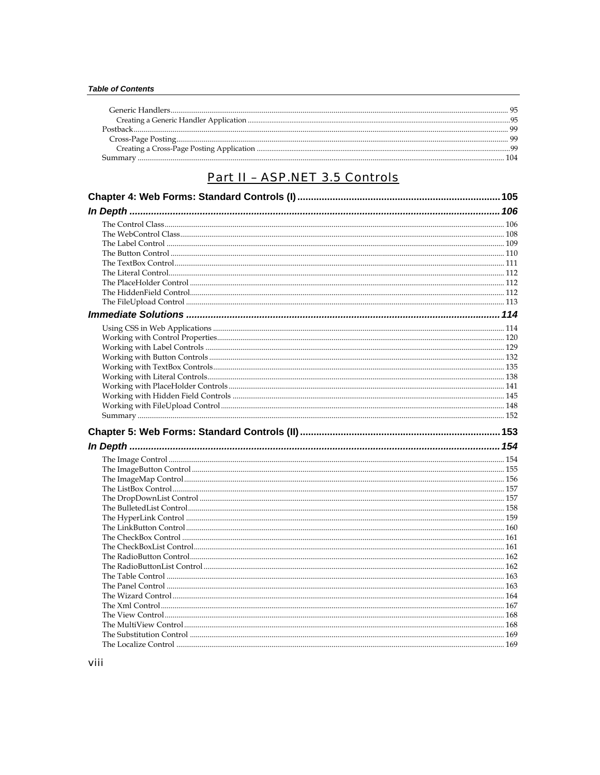### Part II - ASP.NET 3.5 Controls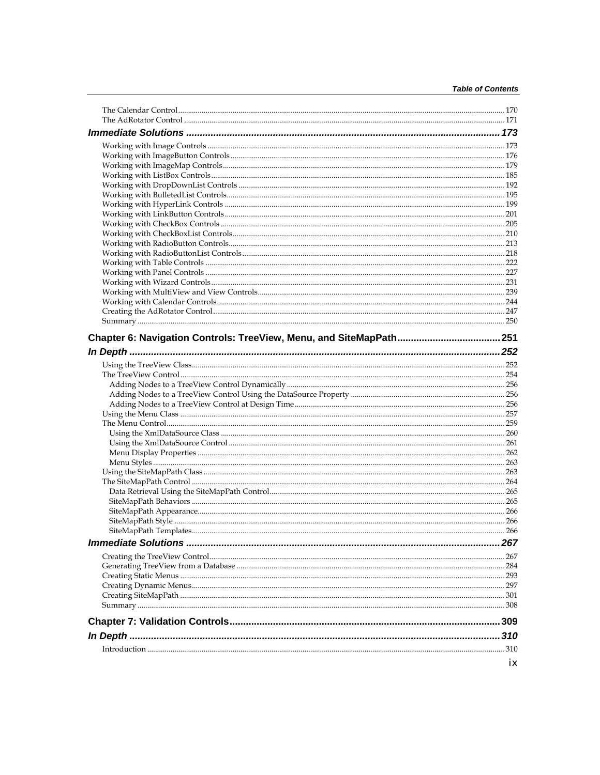| <b>Immediate Solutions</b> | 267 |
|----------------------------|-----|
|                            |     |
|                            |     |
|                            |     |
|                            |     |
|                            |     |
|                            |     |
|                            |     |
|                            | 310 |
|                            |     |
|                            | iх  |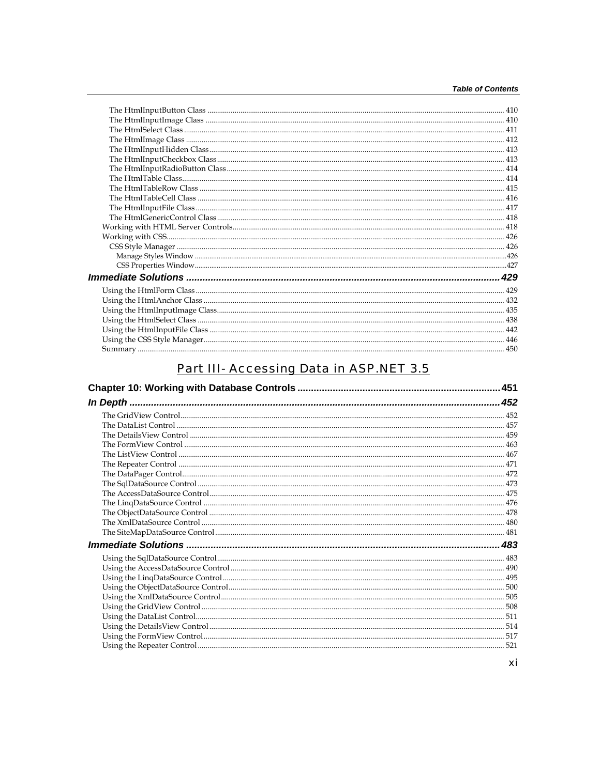| .429 |
|------|
|      |
|      |
|      |
|      |
|      |
|      |
|      |

# Part III- Accessing Data in ASP.NET 3.5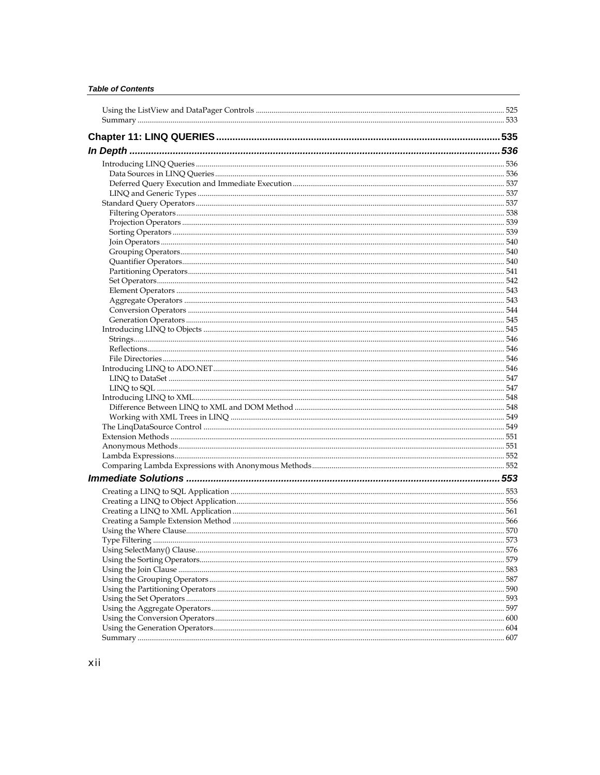| 573  |
|------|
|      |
|      |
|      |
| 587  |
|      |
|      |
| .597 |
|      |
|      |
|      |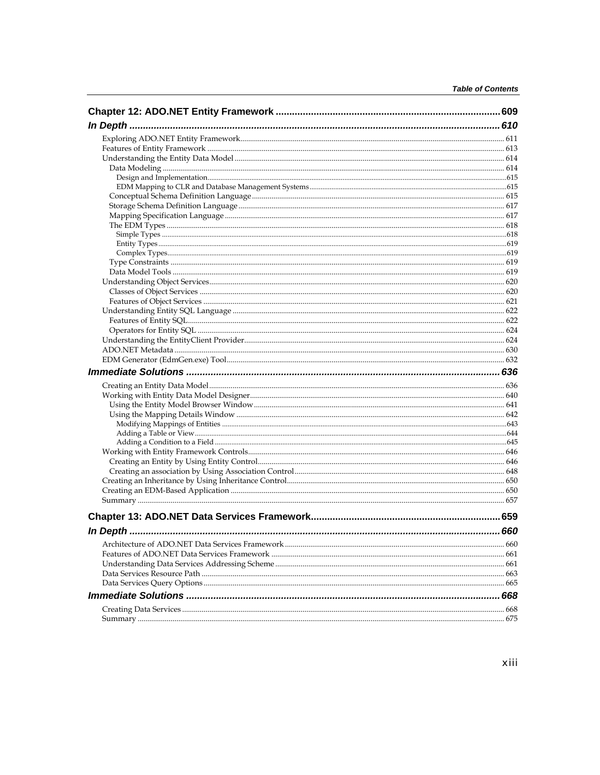| 609 |
|-----|
|     |
|     |
|     |
|     |
|     |
|     |
|     |
|     |
|     |
|     |
|     |
|     |
|     |
|     |
|     |
|     |
|     |
|     |
|     |
|     |
|     |
|     |
|     |
|     |
|     |
|     |
|     |
|     |
|     |
|     |
|     |
|     |
|     |
|     |
|     |
|     |
|     |
|     |
|     |
|     |
|     |
|     |
|     |
|     |
|     |
|     |
|     |
|     |
|     |
|     |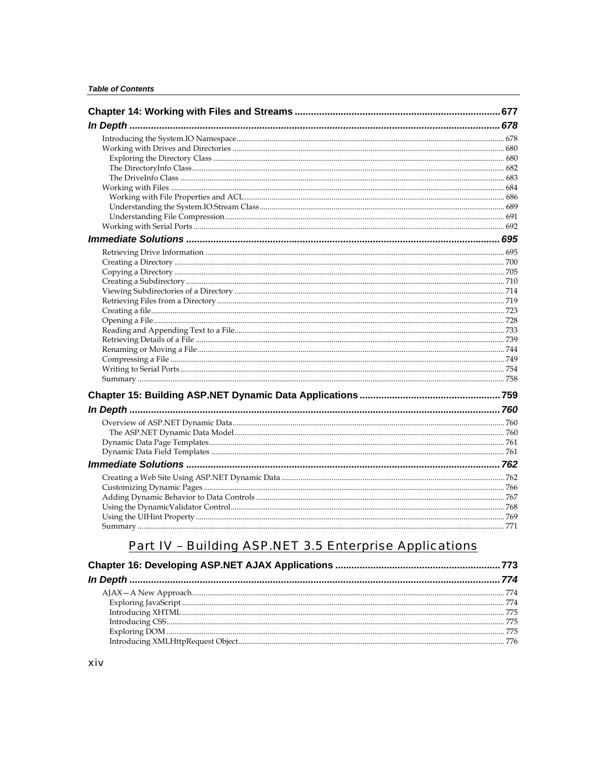# Part IV - Building ASP.NET 3.5 Enterprise Applications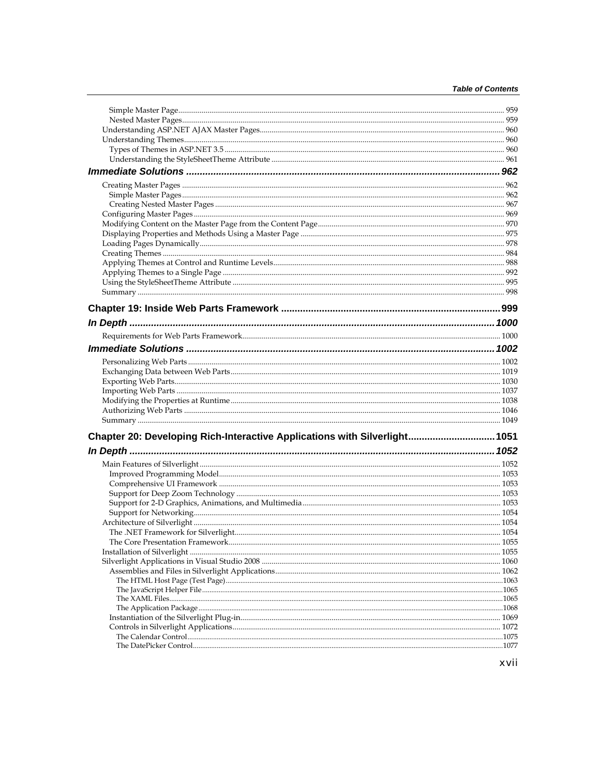| Chapter 20: Developing Rich-Interactive Applications with Silverlight 1051 |  |
|----------------------------------------------------------------------------|--|
|                                                                            |  |
|                                                                            |  |
|                                                                            |  |
|                                                                            |  |
|                                                                            |  |
|                                                                            |  |
|                                                                            |  |
|                                                                            |  |
|                                                                            |  |
|                                                                            |  |
|                                                                            |  |
|                                                                            |  |
|                                                                            |  |
|                                                                            |  |
|                                                                            |  |
|                                                                            |  |
|                                                                            |  |
|                                                                            |  |
|                                                                            |  |
|                                                                            |  |
|                                                                            |  |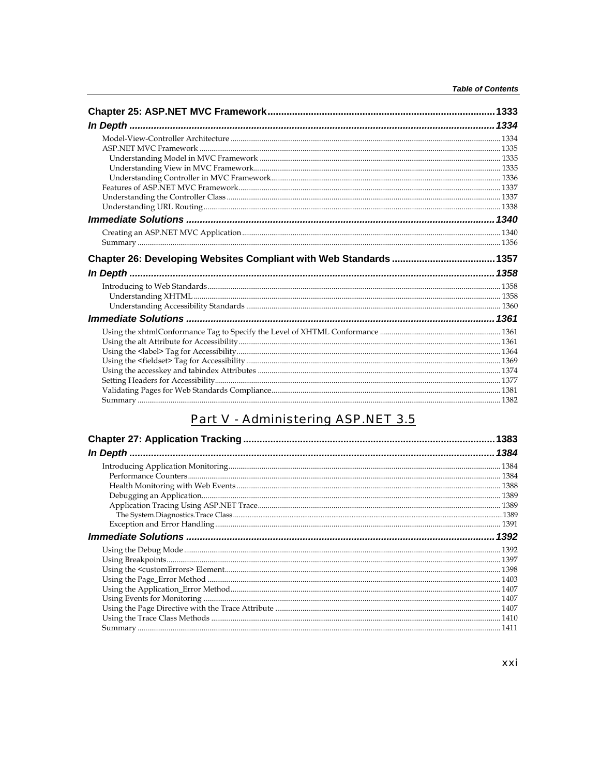# Part V - Administering ASP.NET 3.5

| 1383 |
|------|
| 1384 |
|      |
|      |
|      |
|      |
|      |
|      |
|      |
|      |
|      |
|      |
|      |
|      |
|      |
|      |
|      |
|      |
|      |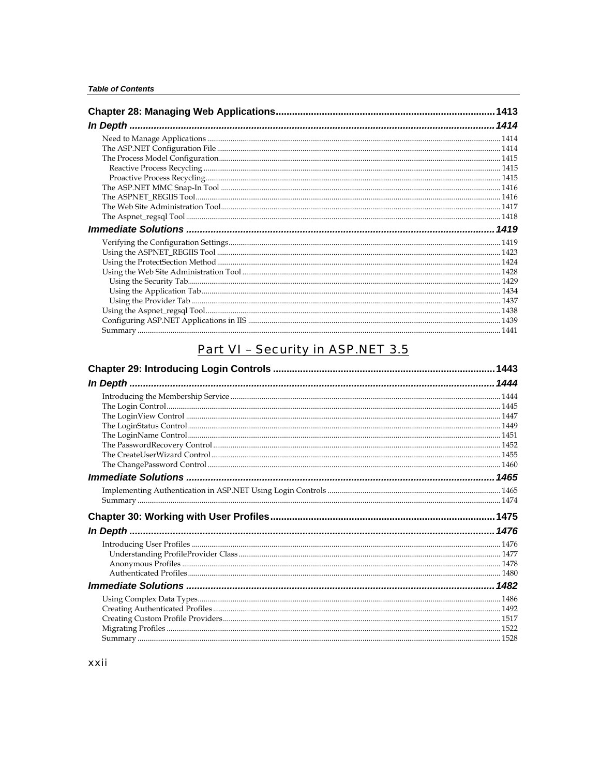## Part VI - Security in ASP.NET 3.5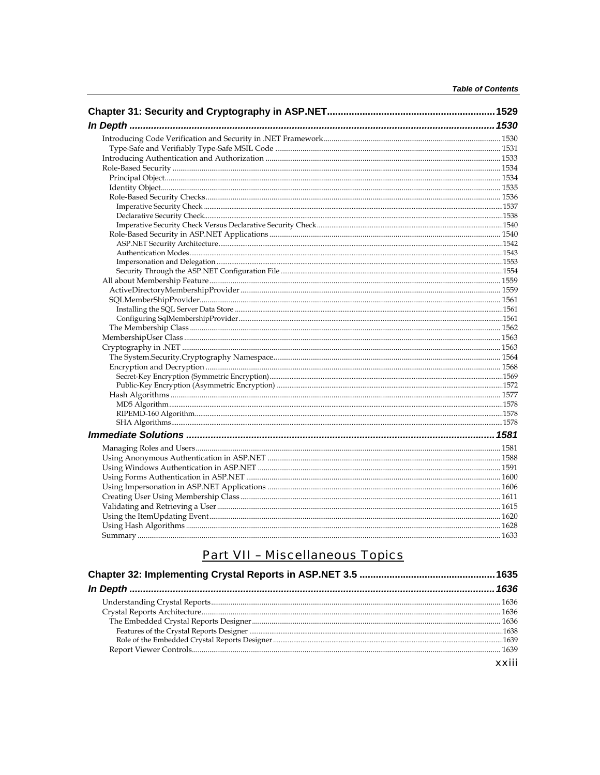## **Part VII - Miscellaneous Topics**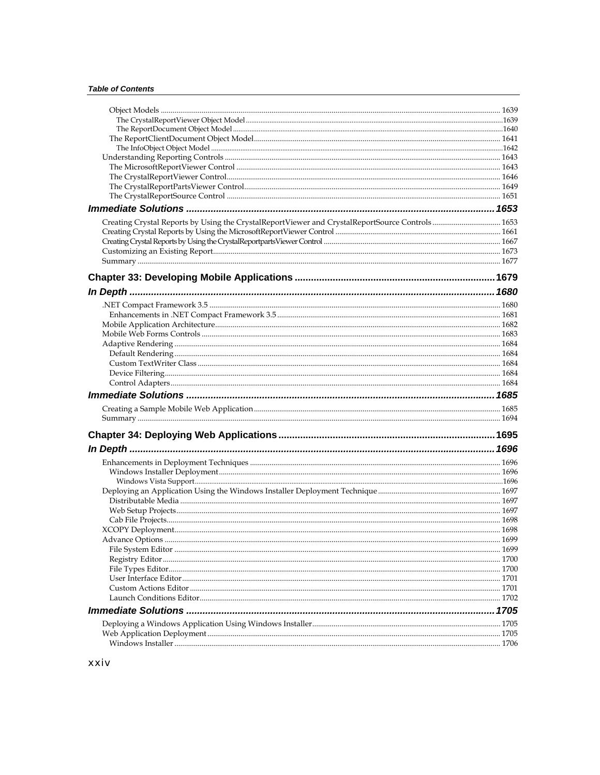| Creating Crystal Reports by Using the CrystalReportViewer and CrystalReportSource Controls  1653 |      |
|--------------------------------------------------------------------------------------------------|------|
|                                                                                                  |      |
|                                                                                                  |      |
|                                                                                                  |      |
|                                                                                                  |      |
|                                                                                                  |      |
|                                                                                                  |      |
|                                                                                                  |      |
|                                                                                                  |      |
|                                                                                                  |      |
|                                                                                                  |      |
|                                                                                                  |      |
|                                                                                                  |      |
|                                                                                                  |      |
|                                                                                                  |      |
|                                                                                                  |      |
|                                                                                                  |      |
|                                                                                                  |      |
|                                                                                                  |      |
|                                                                                                  |      |
|                                                                                                  |      |
|                                                                                                  |      |
|                                                                                                  |      |
|                                                                                                  |      |
|                                                                                                  |      |
|                                                                                                  |      |
|                                                                                                  |      |
|                                                                                                  |      |
|                                                                                                  |      |
|                                                                                                  |      |
|                                                                                                  |      |
|                                                                                                  |      |
|                                                                                                  |      |
|                                                                                                  |      |
|                                                                                                  |      |
|                                                                                                  |      |
|                                                                                                  |      |
|                                                                                                  |      |
|                                                                                                  |      |
|                                                                                                  |      |
|                                                                                                  |      |
| Windows Installer                                                                                | 1706 |